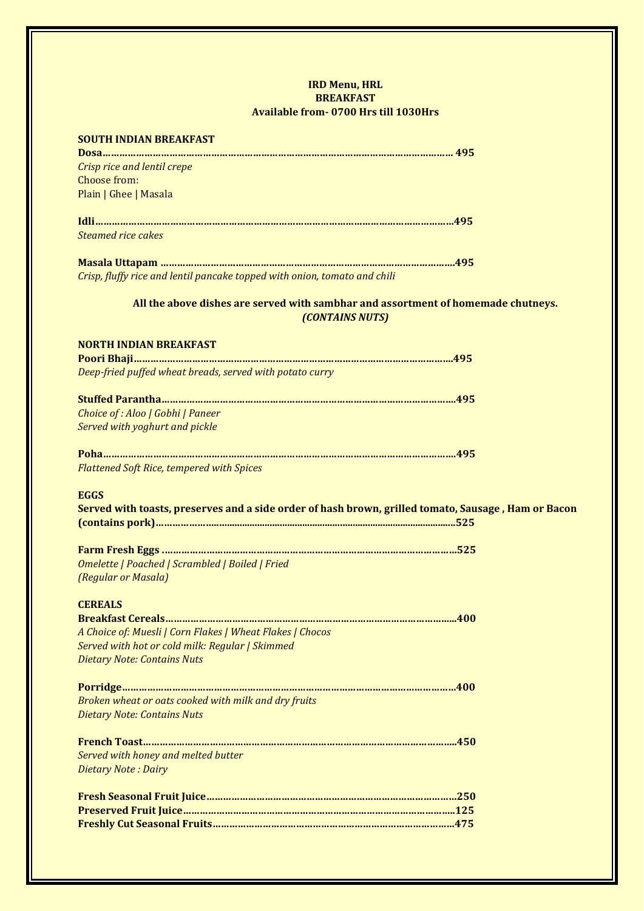## **IRD Menu, HRL BREAKFAST Available from- 0700 Hrs till 1030Hrs**

| <b>SOUTH INDIAN BREAKFAST</b>                                                                        |
|------------------------------------------------------------------------------------------------------|
|                                                                                                      |
| Crisp rice and lentil crepe                                                                          |
| Choose from:                                                                                         |
| Plain   Ghee   Masala                                                                                |
|                                                                                                      |
|                                                                                                      |
| <b>Steamed rice cakes</b>                                                                            |
|                                                                                                      |
| Crisp, fluffy rice and lentil pancake topped with onion, tomato and chili                            |
|                                                                                                      |
| All the above dishes are served with sambhar and assortment of homemade chutneys.<br>(CONTAINS NUTS) |
| <b>NORTH INDIAN BREAKFAST</b>                                                                        |
|                                                                                                      |
| Deep-fried puffed wheat breads, served with potato curry                                             |
|                                                                                                      |
|                                                                                                      |
| Choice of: Aloo   Gobhi   Paneer                                                                     |
| Served with yoghurt and pickle                                                                       |
|                                                                                                      |
|                                                                                                      |
| <b>Flattened Soft Rice, tempered with Spices</b>                                                     |
|                                                                                                      |
| <b>EGGS</b>                                                                                          |
| Served with toasts, preserves and a side order of hash brown, grilled tomato, Sausage, Ham or Bacon  |
|                                                                                                      |
|                                                                                                      |
|                                                                                                      |
| Omelette   Poached   Scrambled   Boiled   Fried                                                      |
| (Regular or Masala)                                                                                  |
| <b>CEREALS</b>                                                                                       |
|                                                                                                      |
| A Choice of: Muesli   Corn Flakes   Wheat Flakes   Chocos                                            |
| Served with hot or cold milk: Regular   Skimmed                                                      |
| <b>Dietary Note: Contains Nuts</b>                                                                   |
|                                                                                                      |
|                                                                                                      |
| Broken wheat or oats cooked with milk and dry fruits                                                 |
| <b>Dietary Note: Contains Nuts</b>                                                                   |
|                                                                                                      |
|                                                                                                      |
| Served with honey and melted butter                                                                  |
| <b>Dietary Note: Dairy</b>                                                                           |
|                                                                                                      |
|                                                                                                      |
|                                                                                                      |
|                                                                                                      |
|                                                                                                      |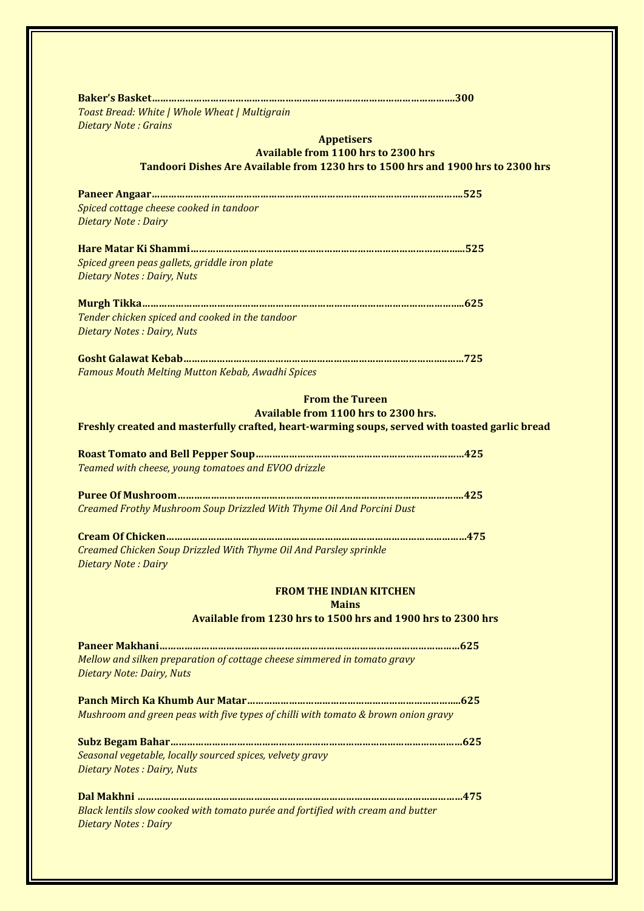| Toast Bread: White   Whole Wheat   Multigrain                                                                |
|--------------------------------------------------------------------------------------------------------------|
| <b>Dietary Note: Grains</b>                                                                                  |
| <b>Appetisers</b><br><b>Available from 1100 hrs to 2300 hrs</b>                                              |
| Tandoori Dishes Are Available from 1230 hrs to 1500 hrs and 1900 hrs to 2300 hrs                             |
|                                                                                                              |
|                                                                                                              |
| Spiced cottage cheese cooked in tandoor                                                                      |
| Dietary Note: Dairy                                                                                          |
|                                                                                                              |
| Spiced green peas gallets, griddle iron plate                                                                |
| Dietary Notes : Dairy, Nuts                                                                                  |
|                                                                                                              |
|                                                                                                              |
| Tender chicken spiced and cooked in the tandoor<br>Dietary Notes : Dairy, Nuts                               |
|                                                                                                              |
|                                                                                                              |
| Famous Mouth Melting Mutton Kebab, Awadhi Spices                                                             |
|                                                                                                              |
| <b>From the Tureen</b><br>Available from 1100 hrs to 2300 hrs.                                               |
| Freshly created and masterfully crafted, heart-warming soups, served with toasted garlic bread               |
|                                                                                                              |
|                                                                                                              |
| Teamed with cheese, young tomatoes and EVOO drizzle                                                          |
|                                                                                                              |
| Creamed Frothy Mushroom Soup Drizzled With Thyme Oil And Porcini Dust                                        |
|                                                                                                              |
|                                                                                                              |
| Creamed Chicken Soup Drizzled With Thyme Oil And Parsley sprinkle                                            |
| Dietary Note: Dairy                                                                                          |
| <b>FROM THE INDIAN KITCHEN</b>                                                                               |
| <b>Mains</b>                                                                                                 |
| Available from 1230 hrs to 1500 hrs and 1900 hrs to 2300 hrs                                                 |
|                                                                                                              |
|                                                                                                              |
| Mellow and silken preparation of cottage cheese simmered in tomato gravy<br><b>Dietary Note: Dairy, Nuts</b> |
|                                                                                                              |
|                                                                                                              |
| Mushroom and green peas with five types of chilli with tomato & brown onion gravy                            |
|                                                                                                              |
| Seasonal vegetable, locally sourced spices, velvety gravy                                                    |
| Dietary Notes : Dairy, Nuts                                                                                  |
|                                                                                                              |
|                                                                                                              |
| Black lentils slow cooked with tomato purée and fortified with cream and butter                              |
| <b>Dietary Notes: Dairy</b>                                                                                  |
|                                                                                                              |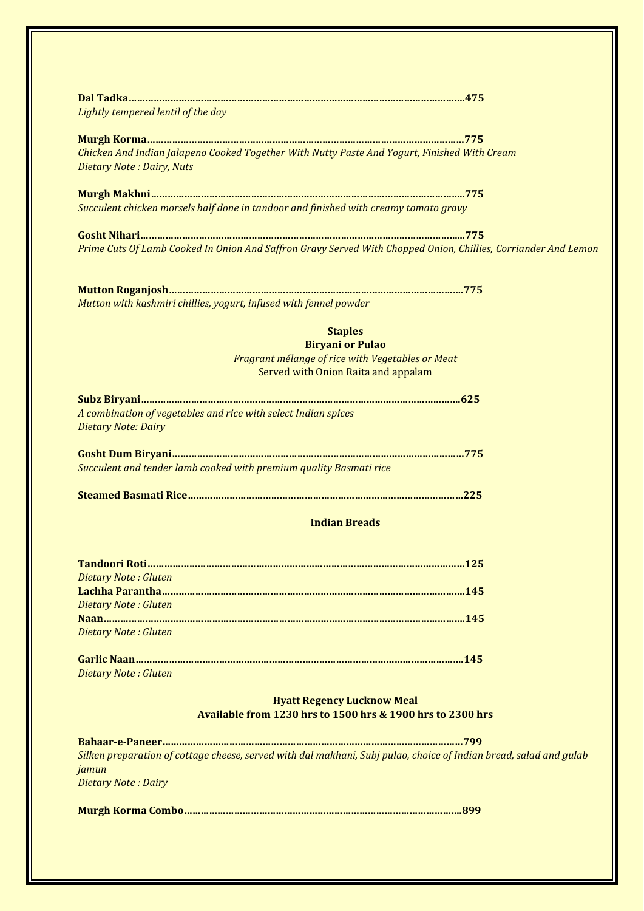| Lightly tempered lentil of the day           |                                                                                                                    |
|----------------------------------------------|--------------------------------------------------------------------------------------------------------------------|
|                                              |                                                                                                                    |
|                                              |                                                                                                                    |
| Dietary Note: Dairy, Nuts                    | Chicken And Indian Jalapeno Cooked Together With Nutty Paste And Yogurt, Finished With Cream                       |
|                                              |                                                                                                                    |
|                                              | Succulent chicken morsels half done in tandoor and finished with creamy tomato gravy                               |
|                                              |                                                                                                                    |
|                                              | Prime Cuts Of Lamb Cooked In Onion And Saffron Gravy Served With Chopped Onion, Chillies, Corriander And Lemon     |
|                                              |                                                                                                                    |
|                                              | Mutton with kashmiri chillies, yogurt, infused with fennel powder                                                  |
|                                              | <b>Staples</b>                                                                                                     |
|                                              | <b>Biryani or Pulao</b>                                                                                            |
|                                              | Fragrant mélange of rice with Vegetables or Meat<br>Served with Onion Raita and appalam                            |
|                                              |                                                                                                                    |
| <b>Dietary Note: Dairy</b>                   | A combination of vegetables and rice with select Indian spices                                                     |
|                                              |                                                                                                                    |
|                                              |                                                                                                                    |
|                                              | Succulent and tender lamb cooked with premium quality Basmati rice                                                 |
|                                              |                                                                                                                    |
|                                              |                                                                                                                    |
|                                              | <b>Indian Breads</b>                                                                                               |
|                                              |                                                                                                                    |
|                                              |                                                                                                                    |
|                                              |                                                                                                                    |
| Dietary Note: Gluten<br>Dietary Note: Gluten |                                                                                                                    |
| Dietary Note: Gluten                         |                                                                                                                    |
|                                              |                                                                                                                    |
| Dietary Note: Gluten                         |                                                                                                                    |
|                                              | <b>Hyatt Regency Lucknow Meal</b>                                                                                  |
|                                              | Available from 1230 hrs to 1500 hrs & 1900 hrs to 2300 hrs                                                         |
|                                              |                                                                                                                    |
|                                              | Silken preparation of cottage cheese, served with dal makhani, Subj pulao, choice of Indian bread, salad and gulab |
|                                              |                                                                                                                    |
| jamun<br><b>Dietary Note: Dairy</b>          |                                                                                                                    |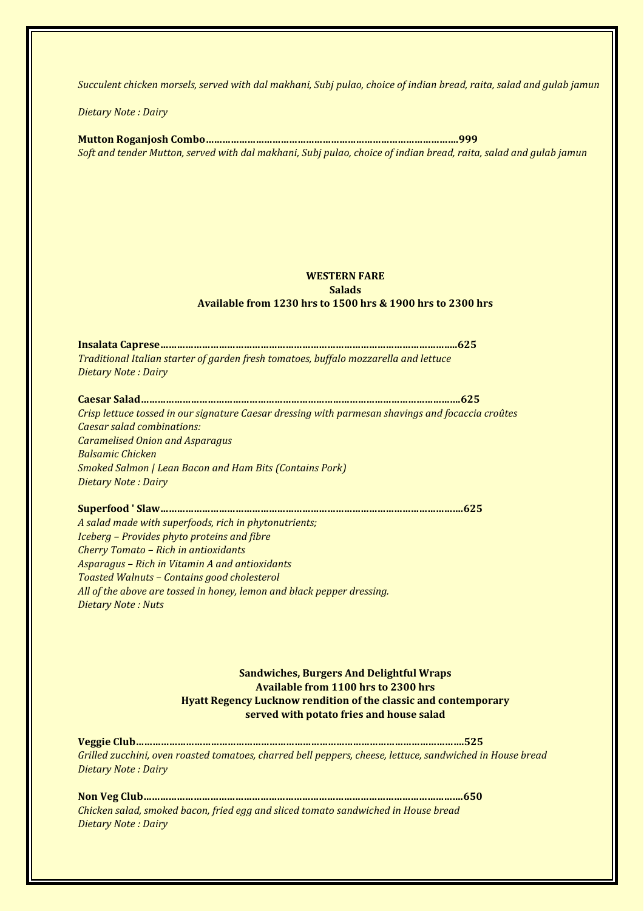*Succulent chicken morsels, served with dal makhani, Subj pulao, choice of indian bread, raita, salad and gulab jamun*

*Dietary Note : Dairy*

**Mutton Roganjosh Combo……………………………………………………………………………….999** *Soft and tender Mutton, served with dal makhani, Subj pulao, choice of indian bread, raita, salad and gulab jamun*

## **WESTERN FARE Salads Available from 1230 hrs to 1500 hrs & 1900 hrs to 2300 hrs**

**Insalata Caprese……………………………………………………………………………………………..625** *Traditional Italian starter of garden fresh tomatoes, buffalo mozzarella and lettuce Dietary Note : Dairy*

**Caesar Salad…………………………………………………………………………………………………….625** *Crisp lettuce tossed in our signature Caesar dressing with parmesan shavings and focaccia croûtes Caesar salad combinations: Caramelised Onion and Asparagus Balsamic Chicken Smoked Salmon | Lean Bacon and Ham Bits (Contains Pork) Dietary Note : Dairy*

**Superfood ' Slaw……………………………………………………………………………………………….625** *A salad made with superfoods, rich in phytonutrients; Iceberg – Provides phyto proteins and fibre Cherry Tomato – Rich in antioxidants Asparagus – Rich in Vitamin A and antioxidants Toasted Walnuts – Contains good cholesterol All of the above are tossed in honey, lemon and black pepper dressing. Dietary Note : Nuts*

> **Sandwiches, Burgers And Delightful Wraps Available from 1100 hrs to 2300 hrs Hyatt Regency Lucknow rendition of the classic and contemporary served with potato fries and house salad**

**Veggie Club……………………………………………………………………………………………………….525** *Grilled zucchini, oven roasted tomatoes, charred bell peppers, cheese, lettuce, sandwiched in House bread Dietary Note : Dairy*

**Non Veg Club…………………………………………………………………………………………………….650** *Chicken salad, smoked bacon, fried egg and sliced tomato sandwiched in House bread Dietary Note : Dairy*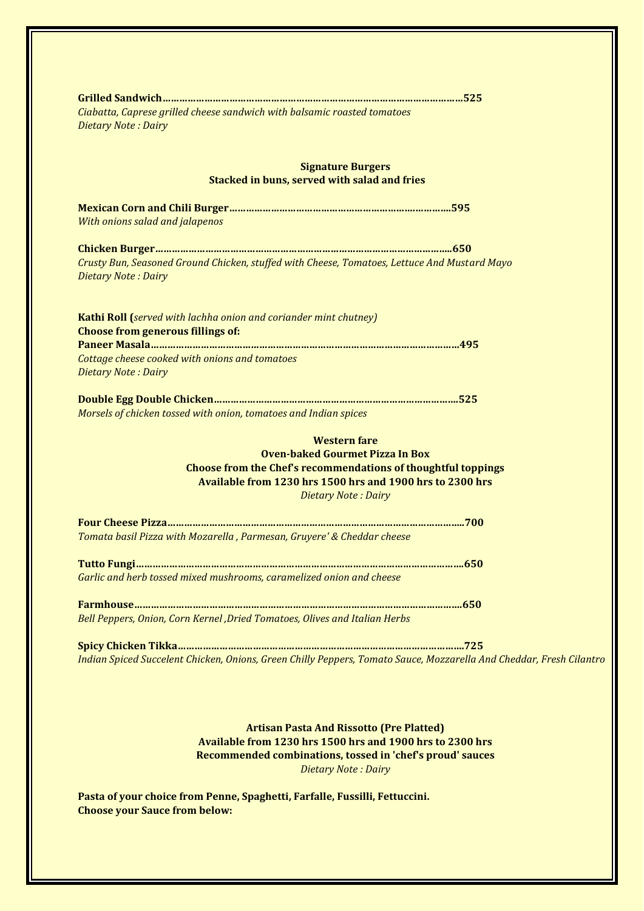| Ciabatta, Caprese grilled cheese sandwich with balsamic roasted tomatoes<br>Dietary Note: Dairy                            |                                                                                                                                                                           |
|----------------------------------------------------------------------------------------------------------------------------|---------------------------------------------------------------------------------------------------------------------------------------------------------------------------|
| <b>Stacked in buns, served with salad and fries</b>                                                                        | <b>Signature Burgers</b>                                                                                                                                                  |
|                                                                                                                            |                                                                                                                                                                           |
| With onions salad and jalapenos                                                                                            |                                                                                                                                                                           |
| Crusty Bun, Seasoned Ground Chicken, stuffed with Cheese, Tomatoes, Lettuce And Mustard Mayo<br><b>Dietary Note: Dairy</b> |                                                                                                                                                                           |
| Kathi Roll (served with lachha onion and coriander mint chutney)<br><b>Choose from generous fillings of:</b>               |                                                                                                                                                                           |
| Cottage cheese cooked with onions and tomatoes<br><b>Dietary Note: Dairy</b>                                               |                                                                                                                                                                           |
| Morsels of chicken tossed with onion, tomatoes and Indian spices                                                           |                                                                                                                                                                           |
|                                                                                                                            | <b>Western fare</b><br><b>Oven-baked Gourmet Pizza In Box</b>                                                                                                             |
|                                                                                                                            | <b>Choose from the Chef's recommendations of thoughtful toppings</b><br>Available from 1230 hrs 1500 hrs and 1900 hrs to 2300 hrs<br><b>Dietary Note: Dairy</b>           |
|                                                                                                                            |                                                                                                                                                                           |
| Tomata basil Pizza with Mozarella, Parmesan, Gruyere' & Cheddar cheese                                                     |                                                                                                                                                                           |
| Garlic and herb tossed mixed mushrooms, caramelized onion and cheese                                                       |                                                                                                                                                                           |
|                                                                                                                            |                                                                                                                                                                           |
| Bell Peppers, Onion, Corn Kernel, Dried Tomatoes, Olives and Italian Herbs                                                 |                                                                                                                                                                           |
|                                                                                                                            | Indian Spiced Succelent Chicken, Onions, Green Chilly Peppers, Tomato Sauce, Mozzarella And Cheddar, Fresh Cilantro                                                       |
|                                                                                                                            | <b>Artisan Pasta And Rissotto (Pre Platted)</b><br>Available from 1230 hrs 1500 hrs and 1900 hrs to 2300 hrs<br>Recommended combinations, tossed in 'chef's proud' sauces |

*Dietary Note : Dairy*

**Pasta of your choice from Penne, Spaghetti, Farfalle, Fussilli, Fettuccini. Choose your Sauce from below:**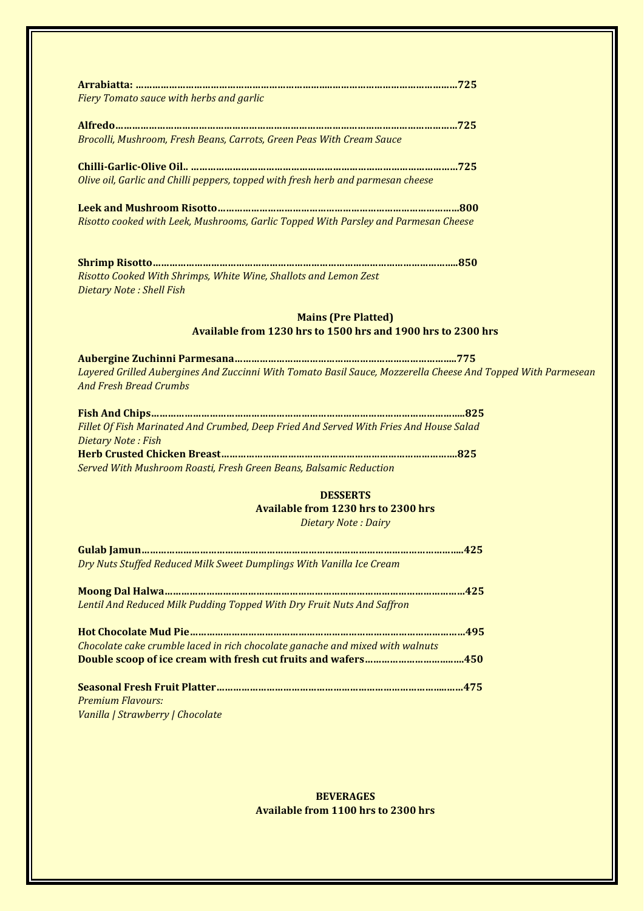| Fiery Tomato sauce with herbs and garlic                                                                                                      |
|-----------------------------------------------------------------------------------------------------------------------------------------------|
|                                                                                                                                               |
|                                                                                                                                               |
| Brocolli, Mushroom, Fresh Beans, Carrots, Green Peas With Cream Sauce                                                                         |
|                                                                                                                                               |
|                                                                                                                                               |
| Olive oil, Garlic and Chilli peppers, topped with fresh herb and parmesan cheese                                                              |
|                                                                                                                                               |
| Risotto cooked with Leek, Mushrooms, Garlic Topped With Parsley and Parmesan Cheese                                                           |
|                                                                                                                                               |
|                                                                                                                                               |
|                                                                                                                                               |
| Risotto Cooked With Shrimps, White Wine, Shallots and Lemon Zest                                                                              |
| Dietary Note: Shell Fish                                                                                                                      |
|                                                                                                                                               |
|                                                                                                                                               |
| <b>Mains (Pre Platted)</b>                                                                                                                    |
| Available from 1230 hrs to 1500 hrs and 1900 hrs to 2300 hrs                                                                                  |
|                                                                                                                                               |
|                                                                                                                                               |
| Layered Grilled Aubergines And Zuccinni With Tomato Basil Sauce, Mozzerella Cheese And Topped With Parmesean<br><b>And Fresh Bread Crumbs</b> |
|                                                                                                                                               |
|                                                                                                                                               |
| Fillet Of Fish Marinated And Crumbed, Deep Fried And Served With Fries And House Salad                                                        |
| Dietary Note: Fish                                                                                                                            |
|                                                                                                                                               |
| Served With Mushroom Roasti, Fresh Green Beans, Balsamic Reduction                                                                            |
|                                                                                                                                               |
| <b>DESSERTS</b>                                                                                                                               |
| <b>Available from 1230 hrs to 2300 hrs</b><br><b>Dietary Note: Dairy</b>                                                                      |

| Dry Nuts Stuffed Reduced Milk Sweet Dumplings With Vanilla Ice Cream |     |
|----------------------------------------------------------------------|-----|
| Moong Dal Halwa                                                      | 425 |

| Lentil And Reduced Milk Pudding Topped With Dry Fruit Nuts And Saffron |
|------------------------------------------------------------------------|
|                                                                        |

| Chocolate cake crumble laced in rich chocolate ganache and mixed with walnuts |  |
|-------------------------------------------------------------------------------|--|
|                                                                               |  |
|                                                                               |  |

|  | <b>Premium Flavours:</b> |                                                                                                                                   |  |  |  |  |  |
|--|--------------------------|-----------------------------------------------------------------------------------------------------------------------------------|--|--|--|--|--|
|  |                          | $\mathbf{u}$ $\mathbf{u}$ $\mathbf{u}$ $\mathbf{u}$ $\mathbf{u}$ $\mathbf{u}$ $\mathbf{u}$ $\mathbf{u}$ $\mathbf{u}$ $\mathbf{v}$ |  |  |  |  |  |

*Vanilla | Strawberry | Chocolate* 

**BEVERAGES Available from 1100 hrs to 2300 hrs**